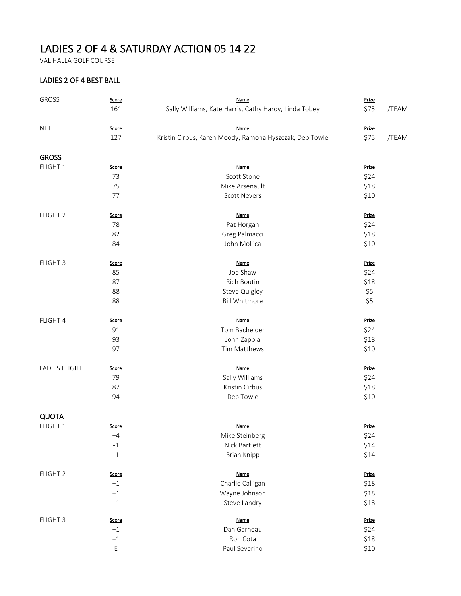## LADIES 2 OF 4 & SATURDAY ACTION 05 14 22

VAL HALLA GOLF COURSE

## LADIES 2 OF 4 BEST BALL

| GROSS               | Score                   | <b>Name</b>                                             |              |       |
|---------------------|-------------------------|---------------------------------------------------------|--------------|-------|
|                     | 161                     | Sally Williams, Kate Harris, Cathy Hardy, Linda Tobey   | \$75         | /TEAM |
| <b>NET</b>          | Score                   | Name                                                    | Prize        |       |
|                     | 127                     | Kristin Cirbus, Karen Moody, Ramona Hyszczak, Deb Towle | \$75         | /TEAM |
| <b>GROSS</b>        |                         |                                                         |              |       |
| FLIGHT 1            | <b>Score</b>            | <b>Name</b>                                             | Prize        |       |
|                     | 73                      | Scott Stone                                             | \$24         |       |
|                     | 75                      | Mike Arsenault                                          | \$18         |       |
|                     | 77                      | <b>Scott Nevers</b>                                     | \$10         |       |
| FLIGHT <sub>2</sub> | <b>Score</b>            | <b>Name</b>                                             | <b>Prize</b> |       |
|                     | 78                      | Pat Horgan                                              | \$24         |       |
|                     | 82                      | Greg Palmacci                                           | \$18         |       |
|                     | 84                      | John Mollica                                            | \$10         |       |
| FLIGHT 3            | <b>Score</b>            | Name                                                    | Prize        |       |
|                     | 85                      | Joe Shaw                                                | \$24         |       |
|                     | 87                      | Rich Boutin                                             | \$18         |       |
|                     | 88                      | Steve Quigley                                           | \$5          |       |
|                     | 88                      | <b>Bill Whitmore</b>                                    | \$5          |       |
| FLIGHT 4            | Score                   | <b>Name</b>                                             | Prize        |       |
|                     | 91                      | Tom Bachelder                                           | \$24         |       |
|                     | 93                      | John Zappia                                             | \$18         |       |
|                     | 97                      | Tim Matthews                                            | \$10         |       |
| LADIES FLIGHT       | <u>Score</u>            | <b>Name</b>                                             | Prize        |       |
|                     | 79                      | Sally Williams                                          | \$24         |       |
|                     | 87                      | Kristin Cirbus                                          | \$18         |       |
|                     | 94                      | Deb Towle                                               | \$10         |       |
| <b>QUOTA</b>        |                         |                                                         |              |       |
| FLIGHT 1            | <b>Score</b>            | Name                                                    | Prize        |       |
|                     | $+4$                    | Mike Steinberg                                          | \$24         |       |
|                     | $^{\mbox{{\small -1}}}$ | Nick Bartlett                                           | \$14         |       |
|                     | $^{\mbox{{\small -1}}}$ | <b>Brian Knipp</b>                                      | \$14         |       |
| FLIGHT <sub>2</sub> | Score                   | Name                                                    | Prize        |       |
|                     | $+1$                    | Charlie Calligan                                        | \$18         |       |
|                     | $^{\rm +1}$             | Wayne Johnson                                           | \$18         |       |
|                     | $^{\rm +1}$             | Steve Landry                                            | \$18         |       |
| FLIGHT 3            | Score                   | <b>Name</b>                                             | Prize        |       |
|                     | $+1$                    | Dan Garneau                                             | \$24         |       |
|                     | $^{\rm +1}$             | Ron Cota                                                | \$18         |       |
|                     | E                       | Paul Severino                                           | \$10         |       |